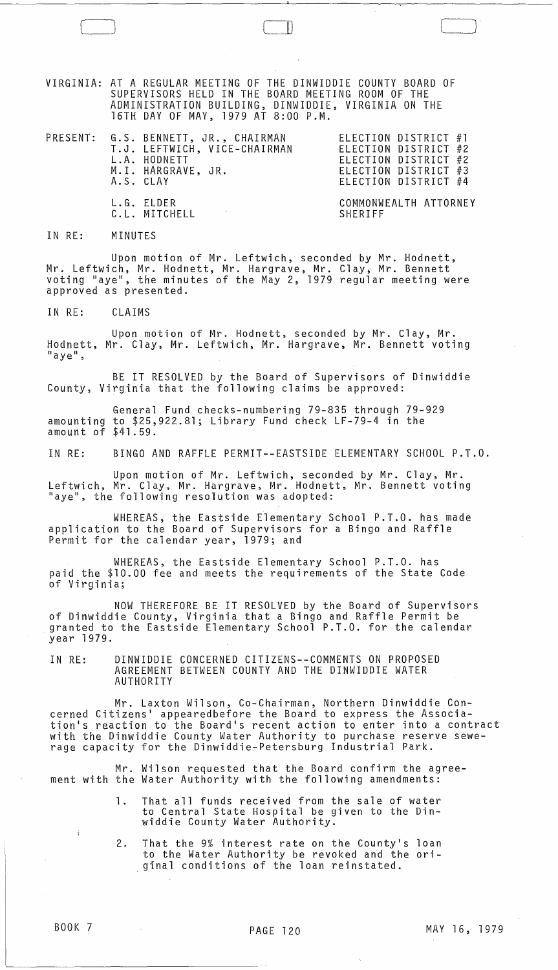VIRGINIA: AT A REGULAR MEETING OF THE DINWIDDIE COUNTY BOARD OF SUPERVISORS HELD IN THE BOARD MEETING ROOM OF THE ADMINISTRATION BUILDING, DINWIDDIE, VIRGINIA ON THE 16TH DAY OF MAY, 1979 AT 8:00 P.M.

|  | PRESENT: G.S. BENNETT, JR., CHAIRMAN<br>T.J. LEFTWICH, VICE-CHAIRMAN<br>L.A. HODNETT<br>M.I. HARGRAVE, JR.<br>A.S. CLAY |         | ELECTION DISTRICT #1<br>ELECTION DISTRICT #2<br>ELECTION DISTRICT #2<br>ELECTION DISTRICT #3<br>ELECTION DISTRICT #4 |  |
|--|-------------------------------------------------------------------------------------------------------------------------|---------|----------------------------------------------------------------------------------------------------------------------|--|
|  | L.G. ELDER<br><b>Contractor</b><br>C.L. MITCHELL                                                                        | SHERIFF | COMMONWEALTH ATTORNEY                                                                                                |  |

IN RE: MINUTES

 $\Box$ 

Upon motion of Mr. Leftwich, seconded by Mr. Hodnett, Mr. Leftwich, Mr. Hodnett, Mr. Hargrave, Mr. Clay, Mr. Bennett voting "aye", the minutes of the May 2, 1979 regular meeting were approved as presented.

IN RE: CLAIMS

Upon motion of Mr. Hodnett, seconded by Mr. Clay, Mr. Hodnett, Mr. Clay, Mr. Leftwich, Mr. Hargrave, Mr. Bennett voting<br>"aye",

BE IT RESOLVED by the Board of Supervisors of Dinwiddie County, Virginia that the following claims be approved:

General Fund checks-numbering 79-835 through 79-929 amounting to \$25,922.81; Library Fund check LF-79-4 in the amount of \$41.59.

IN RE: BINGO AND RAFFLE PERMIT--EASTSIDE ELEMENTARY SCHOOL P.T.O.

Upon motion of Mr. Leftwich, seconded by Mr. Clay, Mr. Leftwich, Mr. Clay., Mr. Hargrave, Mr. Hodnett, Mr. Bennett voting "aye", the following resolution was adopted:

WHEREAS, the Eastside Elementary School P.T.O. has made application to the Board of Supervisors for a Bingo and Raffle Permit for the calendar year, 1979; and

WHEREAS, the Eastside Elementary School P.T.O. has paid the \$10.00 fee and meets the requirements of the State Code of Virginia;

NOW THEREFORE BE IT RESOLVED by the Board of Supervisors of Dinwiddie County, Virginia that a Bingo and Raffle Permit be granted to the Eastside Elementary School P.T.O. for the calendar year 1979.

IN RE: DINWIDDIE CONCERNED CITIZENS--COMMENTS ON PROPOSED AGREEMENT BETWEEN COUNTY AND THE DINWIDDIE WATER AUTHORITY

Mr. Laxton Wilson, Co-Chairman, Northern Dinwiddie Concerned Citizens' appearedbefore the Board to express the Association's reaction to the Board's recent actibn to enter into a contract with the Dinwiddie County Water Authority to purchase reserve sewerage capacity for the Dinwiddie-Petersburg Industrial Park.

Mr. Wilson requested that the Board confirm the agreement with the Water Authority with the following amendments:

- 1. That all funds received from the sale of water to Central State Hospital be given to the Dinwiddie County Water Authority.
- 2. That the 9% interest rate on the County's loan to the Water Authority be revoked and the ori-<br>ginal conditions of the loan reinstated.

 $\sim 10^{11}$  km s  $^{-1}$ 

 $\bigcup_{i=1}^{n}$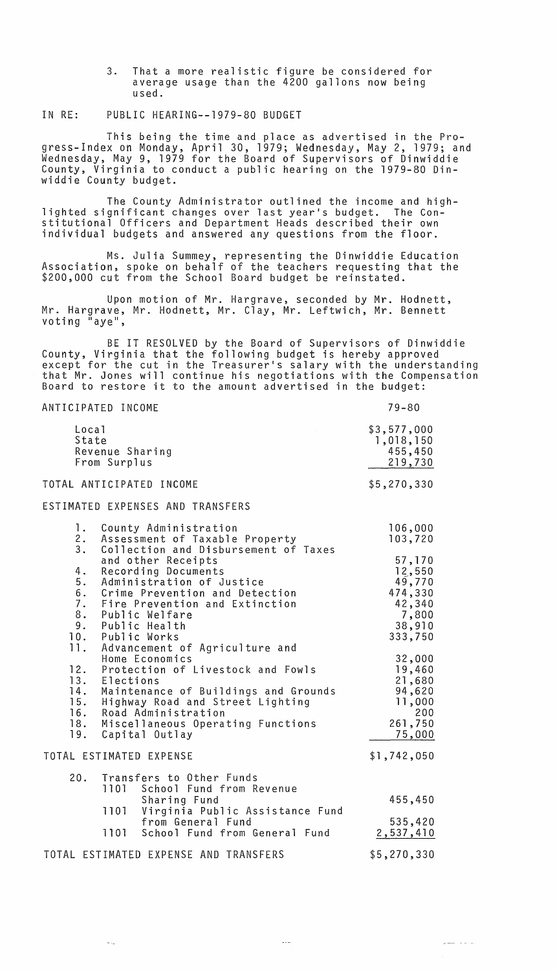3. That a more realistic figure be considered for average usage than the 4200 gallons now being used.

## IN RE: PUBLIC HEARING--1979-80 BUDGET

This being the time and place as advertised in the Progress-Index on Monday, April 30, 1979; Wednesday, May 2, 1979; and Wednesday, May 9, 1979 for the Board of Supervisors of Dinwiddie County, Virginia to conduct a public hearing on the 1979-80 Dinwiddie County budget.

The County Administrator outlined the income and high- lighted significant changes over last year's budget. The Constitutional Officers and Department Heads described their own individual budgets and answered any questions from the floor.

Ms. Julia Summey, representing the Dinwiddie Education Association, spoke on behalf of the teachers requesting that the \$200,000 cut from the School Board budget be reinstated.

Upon motion of Mr. Hargrave, seconded by Mr. Hodnett, Mr. Hargrave, Mr. Hodnett, Mr. Clay, Mr. Leftwich, Mr. Bennett voting "aye",

BE IT RESOLVED by the Board of Supervisors of Dinwiddie County, Virginia that the following budget is hereby approved except for the cut in the Treasurer's salary with the understanding<br>that Mr. Jones will continue his negotiations with the Compensation that Mr. Jones will continue his negotiations with the Compensation<br>Board to restore it to the amount advertised in the budget:

| ANTICIPATED INCOME                                                                                                                                                                                                                                                                              | $79 - 80$                                                                     |
|-------------------------------------------------------------------------------------------------------------------------------------------------------------------------------------------------------------------------------------------------------------------------------------------------|-------------------------------------------------------------------------------|
| Local<br>State<br>Revenue Sharing<br>From Surplus                                                                                                                                                                                                                                               | \$3,577,000<br>1,018,150<br>455,450<br>219,730                                |
| TOTAL ANTICIPATED INCOME                                                                                                                                                                                                                                                                        | \$5,270,330                                                                   |
| ESTIMATED EXPENSES AND TRANSFERS                                                                                                                                                                                                                                                                |                                                                               |
| 1.<br>County Administration<br>2.<br>Assessment of Taxable Property                                                                                                                                                                                                                             | 106,000<br>103,720                                                            |
| 3.<br>Collection and Disbursement of Taxes<br>and other Receipts<br>4.<br>Recording Documents<br>5.<br>Administration of Justice<br>6.<br>Crime Prevention and Detection<br>7.<br>Fire Prevention and Extinction<br>8.<br>Public Welfare<br>9.<br>Public Health<br>10. Public Works             | 57,170<br>12,550<br>49,770<br>474,330<br>42,340<br>7,800<br>38,910<br>333,750 |
| 11. Advancement of Agriculture and<br>Home Economics<br>12. Protection of Livestock and Fowls<br>13. Elections<br>14. Maintenance of Buildings and Grounds<br>15. Highway Road and Street Lighting<br>16. Road Administration<br>18. Miscellaneous Operating Functions<br>19.<br>Capital Outlay | 32,000<br>19,460<br>21,680<br>94,620<br>11,000<br>200<br>261,750<br>75,000    |
| TOTAL ESTIMATED EXPENSE                                                                                                                                                                                                                                                                         | \$1,742,050                                                                   |
| 20.<br>Transfers to Other Funds<br>1101<br>School Fund from Revenue<br>Sharing Fund<br>1101<br>Virginia Public Assistance Fund<br>from General Fund<br>1101<br>School Fund from General Fund                                                                                                    | 455,450<br>535,420<br>2,537,410                                               |
| TOTAL ESTIMATED EXPENSE AND TRANSFERS                                                                                                                                                                                                                                                           | \$5,270,330                                                                   |

 $\omega_{\rm{max}}$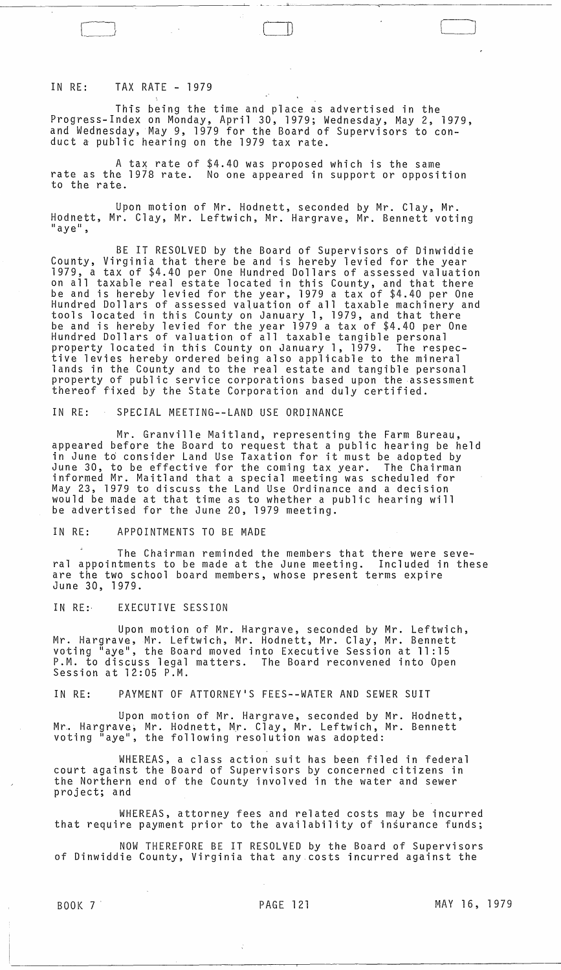## IN RE: TAX RATE - 1979

This being the time and place as advertised in the Progress-Index on Monday, April 30, 1979; Wednesday, May 2, 1979, and Wednesday, May 9, 1979 for the Board of Supervisors to conduct a public hearing on the 1979 tax rate.

A *tax* rate of \$4.40 was proposed which is the same rate as the 1978 rate. No one appeared in support or opposition to the rate.

Upon motion of Mr. Hodnett, seconded by Mr. Clay, Mr. Hodnett, Mr. Clay, Mr. Leftwich, Mr. Hargrave, Mr. Bennett voting<br>"aye",

BE IT RESOLVED by the Board of Supervisors of Dinwiddie County, Virginia that there be and is hereby levied for the year 1979, a tax of \$4.40 per One Hundred Dollars of assessed valuation on all taxable real estate located in this County, and that there be and is hereby levied for the year, 1979 a tax of \$4.40 per One Hundred Dollars of assessed va1uation of all taxable machinery and tools located in this County on January 1, 1979, and that there be and is hereby levied for the year 1979 a tax of \$4.40 per One Hundred Dollars of valuation of all taxable tangible personal property located in this County on January 1, 1979. The respective levies hereby ordered being also applicable to the mineral lands in the County and to the real estate and tangible personal property of public service corporations based upon the assessment thereof fixed by the State Corporation and duly certified.

IN RE: SPECIAL MEETING--LAND USE ORDINANCE

Mr. Granville Maitland, representing the Farm Bureau, appeared before the Board to request that a public hearing be held in June to consider Land Use Taxation for it must be adopted by June 30, to be effective for the coming tax year. The Chairman informed Mr. Maitland that a special meeting was scheduled for May 23, 1979 to discuss the Land Use Ordinance and a decision would be made at that time as to whether a public hearing will be advertised for the June 20, 1979 meeting.

IN RE: APPOINTMENTS TO BE MADE

The Chairman reminded the members that there were several appointments to be made at the June meeting. Included in these are the two school board members, whose present terms expire June 30, 1979.

IN RE: EXECUTIVE SESSION

Upon motion of Mr. Hargrave, seconded by Mr. Leftwich, Mr. Hargrave, Mr. Leftwich, Mr. Hodnett, Mr. Clay, Mr. Bennett voting "aye", the Board moved into Executive Session at 11:15 P.M. to discuss legal matters. The Board reconvened into Open Session at 12:05 P.M.

IN RE: PAYMENT OF ATTORNEY'S FEES--WATER AND SEWER SUIT

Upon motion of Mr. Hargrave, seconded by Mr. Hodnett, Mr. Hargrave, Mr. Hodnett, Mr. Clay, Mr. Leftwich, Mr. Bennett voting "aye", the following resolution was adopted:

WHEREAS, a class action suit has been filed in federal court against the Board of Supervisors by concerned citizens in the Northern end of the County involved in the water and sewer project; and

WHEREAS, attorney fees and related costs may be incurred that require payment prior to the availability of insurance funds;

NOW THEREFORE BE IT RESOLVED by the Board of Supervisors of Dinwiddie County, Virginia that any.costs incurred against the

 $\sim 10^6$ 

 $\begin{pmatrix} \begin{matrix} \begin{matrix} \end{matrix} \\ \end{matrix} \end{pmatrix}$